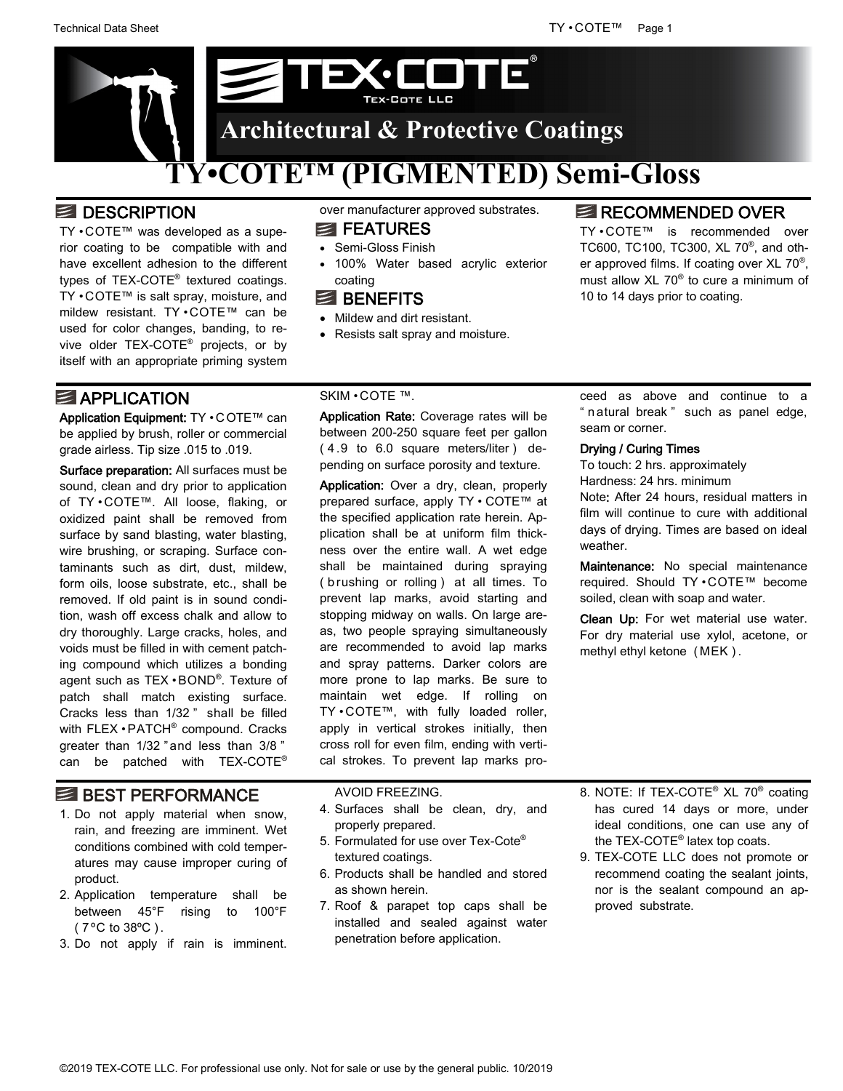

# **B** DESCRIPTION

TY • COTE™ was developed as a superior coating to be compatible with and have excellent adhesion to the different types of TEX-COTE® textured coatings. TY • COTE™ is salt spray, moisture, and mildew resistant. TY • COTE™ can be used for color changes, banding, to revive older TEX-COTE® projects, or by itself with an appropriate priming system

# **E** APPLICATION

Application Equipment: TY . COTE™ can be applied by brush, roller or commercial grade airless. Tip size .015 to .019.

Surface preparation: All surfaces must be sound, clean and dry prior to application of TY • COTE™. All loose, flaking, or oxidized paint shall be removed from surface by sand blasting, water blasting, wire brushing, or scraping. Surface contaminants such as dirt, dust, mildew, form oils, loose substrate, etc., shall be removed. If old paint is in sound condition, wash off excess chalk and allow to dry thoroughly. Large cracks, holes, and voids must be filled in with cement patching compound which utilizes a bonding agent such as TEX • BOND® . Texture of patch shall match existing surface. Cracks less than 1/32 " shall be filled with FLEX • PATCH<sup>®</sup> compound. Cracks greater than 1/32 " and less than 3/8 " can be patched with TEX-COTE®

# BEST PERFORMANCE

- 1. Do not apply material when snow, rain, and freezing are imminent. Wet conditions combined with cold temperatures may cause improper curing of product.
- 2. Application temperature shall be between 45°F rising to 100°F ( 7 ºC to 38ºC ) .
- 3. Do not apply if rain is imminent.

over manufacturer approved substrates.

### **EXECUTER**

- Semi-Gloss Finish
- 100% Water based acrylic exterior coating

### **E** BENEFITS

- Mildew and dirt resistant.
- Resists salt spray and moisture.

## **RECOMMENDED OVER**

TY • COTE™ is recommended over TC600, TC100, TC300, XL 70® , and other approved films. If coating over XL  $70^{\circ}$ , must allow XL 70® to cure a minimum of 10 to 14 days prior to coating.

### SKIM • COTE ™.

Application Rate: Coverage rates will be between 200-250 square feet per gallon ( 4 .9 to 6.0 square meters/liter ) depending on surface porosity and texture.

Application: Over a dry, clean, properly prepared surface, apply TY • COTE™ at the specified application rate herein. Application shall be at uniform film thickness over the entire wall. A wet edge shall be maintained during spraying (brushing or rolling) at all times. To prevent lap marks, avoid starting and stopping midway on walls. On large areas, two people spraying simultaneously are recommended to avoid lap marks and spray patterns. Darker colors are more prone to lap marks. Be sure to maintain wet edge. If rolling on TY • COTE™, with fully loaded roller, apply in vertical strokes initially, then cross roll for even film, ending with vertical strokes. To prevent lap marks pro-

### ceed as above and continue to a " n atural break " such as panel edge, seam or corner.

### Drying / Curing Times

To touch: 2 hrs. approximately Hardness: 24 hrs. minimum Note: After 24 hours, residual matters in film will continue to cure with additional days of drying. Times are based on ideal weather.

Maintenance: No special maintenance required. Should TY • COTE™ become soiled, clean with soap and water.

Clean Up: For wet material use water. For dry material use xylol, acetone, or methyl ethyl ketone ( MEK ) .

### AVOID FREEZING.

- 4. Surfaces shall be clean, dry, and properly prepared.
- 5. Formulated for use over Tex-Cote® textured coatings.
- 6. Products shall be handled and stored as shown herein.
- 7. Roof & parapet top caps shall be installed and sealed against water penetration before application.
- 8. NOTE: If TEX-COTE<sup>®</sup> XL 70<sup>®</sup> coating has cured 14 days or more, under ideal conditions, one can use any of the TEX-COTE® latex top coats.
- 9. TEX-COTE LLC does not promote or recommend coating the sealant joints, nor is the sealant compound an approved substrate.